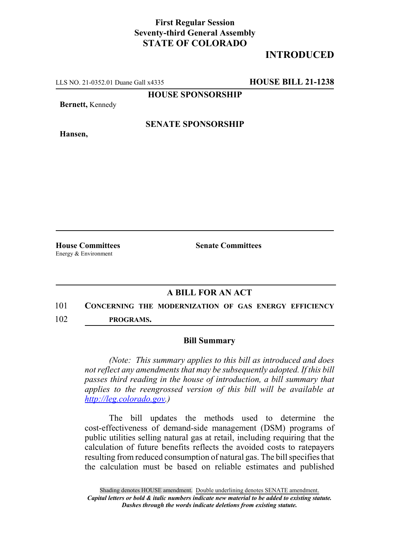## **First Regular Session Seventy-third General Assembly STATE OF COLORADO**

## **INTRODUCED**

LLS NO. 21-0352.01 Duane Gall x4335 **HOUSE BILL 21-1238**

**HOUSE SPONSORSHIP**

**Bernett,** Kennedy

**Hansen,**

**SENATE SPONSORSHIP**

Energy & Environment

**House Committees Senate Committees**

## **A BILL FOR AN ACT**

101 **CONCERNING THE MODERNIZATION OF GAS ENERGY EFFICIENCY** 102 **PROGRAMS.**

## **Bill Summary**

*(Note: This summary applies to this bill as introduced and does not reflect any amendments that may be subsequently adopted. If this bill passes third reading in the house of introduction, a bill summary that applies to the reengrossed version of this bill will be available at http://leg.colorado.gov.)*

The bill updates the methods used to determine the cost-effectiveness of demand-side management (DSM) programs of public utilities selling natural gas at retail, including requiring that the calculation of future benefits reflects the avoided costs to ratepayers resulting from reduced consumption of natural gas. The bill specifies that the calculation must be based on reliable estimates and published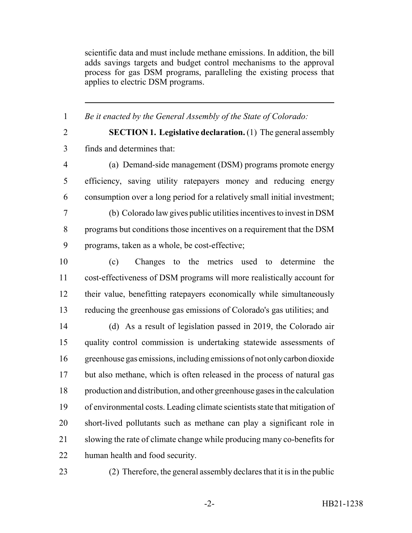scientific data and must include methane emissions. In addition, the bill adds savings targets and budget control mechanisms to the approval process for gas DSM programs, paralleling the existing process that applies to electric DSM programs.

*Be it enacted by the General Assembly of the State of Colorado:*

 **SECTION 1. Legislative declaration.** (1) The general assembly finds and determines that:

 (a) Demand-side management (DSM) programs promote energy efficiency, saving utility ratepayers money and reducing energy consumption over a long period for a relatively small initial investment;

 (b) Colorado law gives public utilities incentives to invest in DSM programs but conditions those incentives on a requirement that the DSM programs, taken as a whole, be cost-effective;

 (c) Changes to the metrics used to determine the cost-effectiveness of DSM programs will more realistically account for their value, benefitting ratepayers economically while simultaneously reducing the greenhouse gas emissions of Colorado's gas utilities; and

 (d) As a result of legislation passed in 2019, the Colorado air quality control commission is undertaking statewide assessments of greenhouse gas emissions, including emissions of not only carbon dioxide but also methane, which is often released in the process of natural gas production and distribution, and other greenhouse gases in the calculation of environmental costs. Leading climate scientists state that mitigation of short-lived pollutants such as methane can play a significant role in slowing the rate of climate change while producing many co-benefits for human health and food security.

(2) Therefore, the general assembly declares that it is in the public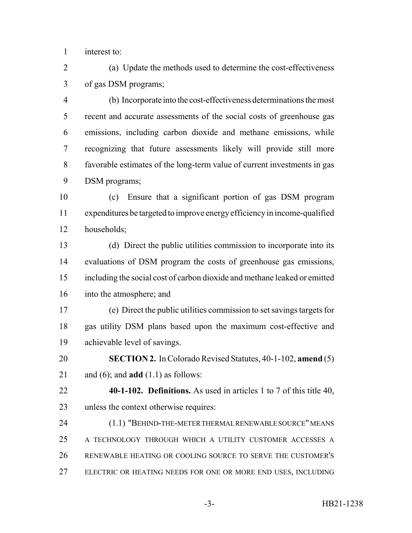interest to:

 (a) Update the methods used to determine the cost-effectiveness of gas DSM programs;

 (b) Incorporate into the cost-effectiveness determinations the most recent and accurate assessments of the social costs of greenhouse gas emissions, including carbon dioxide and methane emissions, while recognizing that future assessments likely will provide still more favorable estimates of the long-term value of current investments in gas DSM programs;

 (c) Ensure that a significant portion of gas DSM program expenditures be targeted to improve energy efficiency in income-qualified households;

 (d) Direct the public utilities commission to incorporate into its evaluations of DSM program the costs of greenhouse gas emissions, including the social cost of carbon dioxide and methane leaked or emitted into the atmosphere; and

 (e) Direct the public utilities commission to set savings targets for gas utility DSM plans based upon the maximum cost-effective and achievable level of savings.

 **SECTION 2.** In Colorado Revised Statutes, 40-1-102, **amend** (5) and (6); and **add** (1.1) as follows:

 **40-1-102. Definitions.** As used in articles 1 to 7 of this title 40, unless the context otherwise requires:

 (1.1) "BEHIND-THE-METER THERMAL RENEWABLE SOURCE" MEANS A TECHNOLOGY THROUGH WHICH A UTILITY CUSTOMER ACCESSES A RENEWABLE HEATING OR COOLING SOURCE TO SERVE THE CUSTOMER'S ELECTRIC OR HEATING NEEDS FOR ONE OR MORE END USES, INCLUDING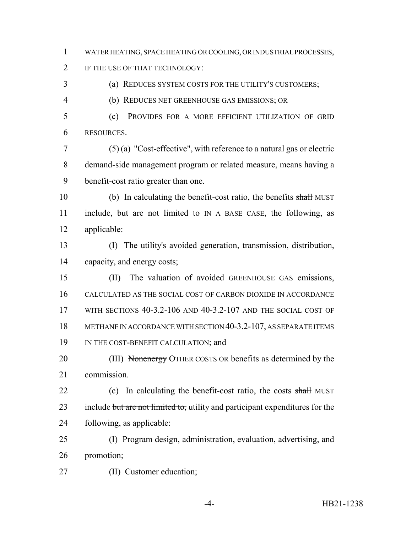WATER HEATING, SPACE HEATING OR COOLING, OR INDUSTRIAL PROCESSES,

IF THE USE OF THAT TECHNOLOGY:

(a) REDUCES SYSTEM COSTS FOR THE UTILITY'S CUSTOMERS;

(b) REDUCES NET GREENHOUSE GAS EMISSIONS; OR

 (c) PROVIDES FOR A MORE EFFICIENT UTILIZATION OF GRID RESOURCES.

 (5) (a) "Cost-effective", with reference to a natural gas or electric demand-side management program or related measure, means having a benefit-cost ratio greater than one.

 (b) In calculating the benefit-cost ratio, the benefits shall MUST 11 include, but are not limited to IN A BASE CASE, the following, as applicable:

 (I) The utility's avoided generation, transmission, distribution, capacity, and energy costs;

 (II) The valuation of avoided GREENHOUSE GAS emissions, CALCULATED AS THE SOCIAL COST OF CARBON DIOXIDE IN ACCORDANCE WITH SECTIONS 40-3.2-106 AND 40-3.2-107 AND THE SOCIAL COST OF METHANE IN ACCORDANCE WITH SECTION 40-3.2-107, AS SEPARATE ITEMS 19 IN THE COST-BENEFIT CALCULATION; and

20 (III) Nonenergy OTHER COSTS OR benefits as determined by the commission.

22 (c) In calculating the benefit-cost ratio, the costs shall MUST 23 include but are not limited to, utility and participant expenditures for the following, as applicable:

 (I) Program design, administration, evaluation, advertising, and promotion;

(II) Customer education;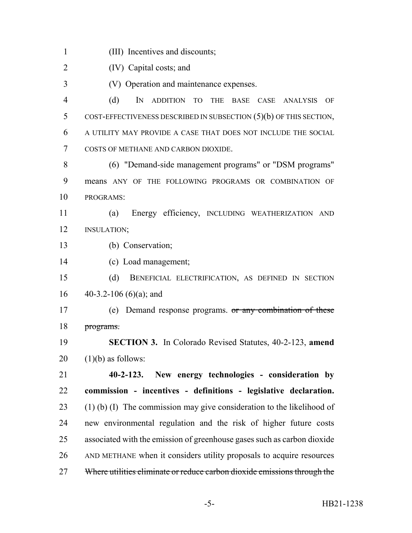(III) Incentives and discounts;

(IV) Capital costs; and

(V) Operation and maintenance expenses.

 (d) IN ADDITION TO THE BASE CASE ANALYSIS OF COST-EFFECTIVENESS DESCRIBED IN SUBSECTION (5)(b) OF THIS SECTION, A UTILITY MAY PROVIDE A CASE THAT DOES NOT INCLUDE THE SOCIAL COSTS OF METHANE AND CARBON DIOXIDE.

 (6) "Demand-side management programs" or "DSM programs" means ANY OF THE FOLLOWING PROGRAMS OR COMBINATION OF PROGRAMS:

 (a) Energy efficiency, INCLUDING WEATHERIZATION AND INSULATION;

- (b) Conservation;
- (c) Load management;

 (d) BENEFICIAL ELECTRIFICATION, AS DEFINED IN SECTION 16  $40-3.2-106(6)(a)$ ; and

17 (e) Demand response programs. or any combination of these programs.

 **SECTION 3.** In Colorado Revised Statutes, 40-2-123, **amend** (1)(b) as follows:

 **40-2-123. New energy technologies - consideration by commission - incentives - definitions - legislative declaration.** (1) (b) (I) The commission may give consideration to the likelihood of new environmental regulation and the risk of higher future costs associated with the emission of greenhouse gases such as carbon dioxide AND METHANE when it considers utility proposals to acquire resources 27 Where utilities eliminate or reduce carbon dioxide emissions through the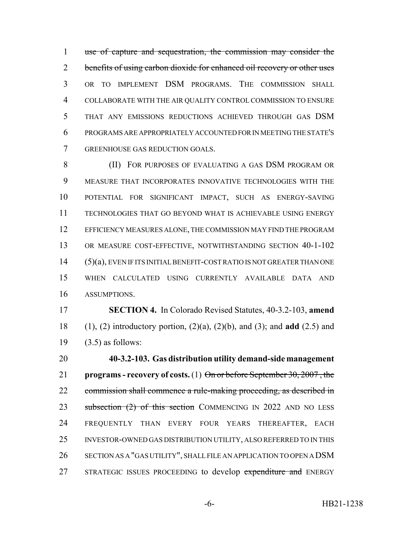use of capture and sequestration, the commission may consider the 2 benefits of using carbon dioxide for enhanced oil recovery or other uses OR TO IMPLEMENT DSM PROGRAMS. THE COMMISSION SHALL COLLABORATE WITH THE AIR QUALITY CONTROL COMMISSION TO ENSURE THAT ANY EMISSIONS REDUCTIONS ACHIEVED THROUGH GAS DSM PROGRAMS ARE APPROPRIATELY ACCOUNTED FOR IN MEETING THE STATE'S GREENHOUSE GAS REDUCTION GOALS.

 (II) FOR PURPOSES OF EVALUATING A GAS DSM PROGRAM OR MEASURE THAT INCORPORATES INNOVATIVE TECHNOLOGIES WITH THE POTENTIAL FOR SIGNIFICANT IMPACT, SUCH AS ENERGY-SAVING TECHNOLOGIES THAT GO BEYOND WHAT IS ACHIEVABLE USING ENERGY EFFICIENCY MEASURES ALONE, THE COMMISSION MAY FIND THE PROGRAM 13 OR MEASURE COST-EFFECTIVE, NOTWITHSTANDING SECTION 40-1-102 (5)(a), EVEN IF ITS INITIAL BENEFIT-COST RATIO IS NOT GREATER THAN ONE WHEN CALCULATED USING CURRENTLY AVAILABLE DATA AND ASSUMPTIONS.

 **SECTION 4.** In Colorado Revised Statutes, 40-3.2-103, **amend** (1), (2) introductory portion, (2)(a), (2)(b), and (3); and **add** (2.5) and (3.5) as follows:

 **40-3.2-103. Gas distribution utility demand-side management programs - recovery of costs.** (1) On or before September 30, 2007 , the 22 commission shall commence a rule-making proceeding, as described in 23 subsection (2) of this section COMMENCING IN 2022 AND NO LESS FREQUENTLY THAN EVERY FOUR YEARS THEREAFTER, EACH INVESTOR-OWNED GAS DISTRIBUTION UTILITY, ALSO REFERRED TO IN THIS SECTION AS A "GAS UTILITY", SHALL FILE AN APPLICATION TO OPEN A DSM 27 STRATEGIC ISSUES PROCEEDING to develop expenditure and ENERGY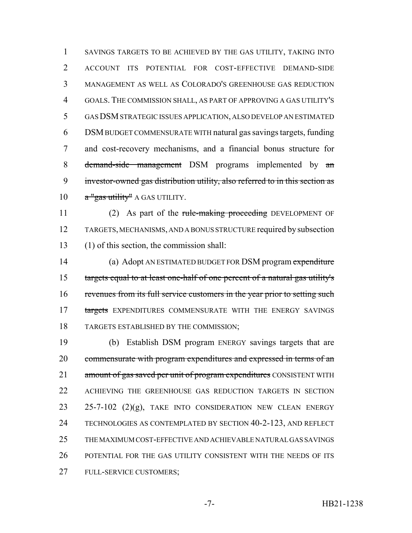SAVINGS TARGETS TO BE ACHIEVED BY THE GAS UTILITY, TAKING INTO ACCOUNT ITS POTENTIAL FOR COST-EFFECTIVE DEMAND-SIDE MANAGEMENT AS WELL AS COLORADO'S GREENHOUSE GAS REDUCTION GOALS. THE COMMISSION SHALL, AS PART OF APPROVING A GAS UTILITY'S GAS DSM STRATEGIC ISSUES APPLICATION, ALSO DEVELOP AN ESTIMATED DSM BUDGET COMMENSURATE WITH natural gas savings targets, funding and cost-recovery mechanisms, and a financial bonus structure for 8 demand-side management DSM programs implemented by an investor-owned gas distribution utility, also referred to in this section as  $a''$  gas utility" A GAS UTILITY.

11 (2) As part of the rule-making proceeding DEVELOPMENT OF TARGETS, MECHANISMS, AND A BONUS STRUCTURE required by subsection (1) of this section, the commission shall:

14 (a) Adopt AN ESTIMATED BUDGET FOR DSM program expenditure targets equal to at least one-half of one percent of a natural gas utility's revenues from its full service customers in the year prior to setting such 17 targets EXPENDITURES COMMENSURATE WITH THE ENERGY SAVINGS TARGETS ESTABLISHED BY THE COMMISSION;

 (b) Establish DSM program ENERGY savings targets that are 20 commensurate with program expenditures and expressed in terms of an 21 amount of gas saved per unit of program expenditures CONSISTENT WITH ACHIEVING THE GREENHOUSE GAS REDUCTION TARGETS IN SECTION  $25-7-102$   $(2)(g)$ , TAKE INTO CONSIDERATION NEW CLEAN ENERGY TECHNOLOGIES AS CONTEMPLATED BY SECTION 40-2-123, AND REFLECT THE MAXIMUM COST-EFFECTIVE AND ACHIEVABLE NATURAL GAS SAVINGS POTENTIAL FOR THE GAS UTILITY CONSISTENT WITH THE NEEDS OF ITS FULL-SERVICE CUSTOMERS;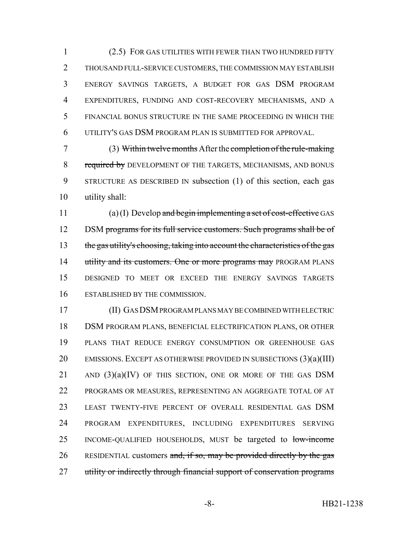(2.5) FOR GAS UTILITIES WITH FEWER THAN TWO HUNDRED FIFTY THOUSAND FULL-SERVICE CUSTOMERS, THE COMMISSION MAY ESTABLISH ENERGY SAVINGS TARGETS, A BUDGET FOR GAS DSM PROGRAM EXPENDITURES, FUNDING AND COST-RECOVERY MECHANISMS, AND A FINANCIAL BONUS STRUCTURE IN THE SAME PROCEEDING IN WHICH THE UTILITY'S GAS DSM PROGRAM PLAN IS SUBMITTED FOR APPROVAL.

 (3) Within twelve months After the completion of the rule-making 8 required by DEVELOPMENT OF THE TARGETS, MECHANISMS, AND BONUS STRUCTURE AS DESCRIBED IN subsection (1) of this section, each gas utility shall:

11 (a) (I) Develop and begin implementing a set of cost-effective GAS 12 DSM programs for its full service customers. Such programs shall be of 13 the gas utility's choosing, taking into account the characteristics of the gas 14 utility and its customers. One or more programs may PROGRAM PLANS DESIGNED TO MEET OR EXCEED THE ENERGY SAVINGS TARGETS ESTABLISHED BY THE COMMISSION.

 (II) GAS DSM PROGRAM PLANS MAY BE COMBINED WITH ELECTRIC DSM PROGRAM PLANS, BENEFICIAL ELECTRIFICATION PLANS, OR OTHER PLANS THAT REDUCE ENERGY CONSUMPTION OR GREENHOUSE GAS 20 EMISSIONS. EXCEPT AS OTHERWISE PROVIDED IN SUBSECTIONS (3)(a)(III) AND  $(3)(a)(IV)$  OF THIS SECTION, ONE OR MORE OF THE GAS DSM PROGRAMS OR MEASURES, REPRESENTING AN AGGREGATE TOTAL OF AT LEAST TWENTY-FIVE PERCENT OF OVERALL RESIDENTIAL GAS DSM PROGRAM EXPENDITURES, INCLUDING EXPENDITURES SERVING 25 INCOME-QUALIFIED HOUSEHOLDS, MUST be targeted to low-income 26 RESIDENTIAL customers and, if so, may be provided directly by the gas 27 utility or indirectly through financial support of conservation programs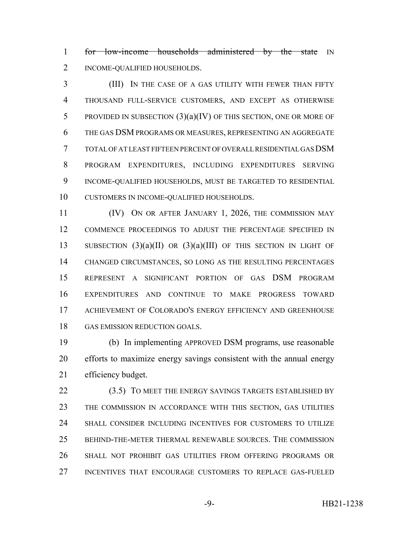1 for low-income households administered by the state IN INCOME-QUALIFIED HOUSEHOLDS.

 (III) IN THE CASE OF A GAS UTILITY WITH FEWER THAN FIFTY THOUSAND FULL-SERVICE CUSTOMERS, AND EXCEPT AS OTHERWISE 5 PROVIDED IN SUBSECTION  $(3)(a)(IV)$  OF THIS SECTION, ONE OR MORE OF THE GAS DSM PROGRAMS OR MEASURES, REPRESENTING AN AGGREGATE TOTAL OF AT LEAST FIFTEEN PERCENT OF OVERALL RESIDENTIAL GAS DSM PROGRAM EXPENDITURES, INCLUDING EXPENDITURES SERVING INCOME-QUALIFIED HOUSEHOLDS, MUST BE TARGETED TO RESIDENTIAL CUSTOMERS IN INCOME-QUALIFIED HOUSEHOLDS.

11 (IV) ON OR AFTER JANUARY 1, 2026, THE COMMISSION MAY COMMENCE PROCEEDINGS TO ADJUST THE PERCENTAGE SPECIFIED IN 13 SUBSECTION  $(3)(a)(II)$  OR  $(3)(a)(III)$  OF THIS SECTION IN LIGHT OF CHANGED CIRCUMSTANCES, SO LONG AS THE RESULTING PERCENTAGES REPRESENT A SIGNIFICANT PORTION OF GAS DSM PROGRAM EXPENDITURES AND CONTINUE TO MAKE PROGRESS TOWARD ACHIEVEMENT OF COLORADO'S ENERGY EFFICIENCY AND GREENHOUSE 18 GAS EMISSION REDUCTION GOALS.

 (b) In implementing APPROVED DSM programs, use reasonable efforts to maximize energy savings consistent with the annual energy efficiency budget.

22 (3.5) TO MEET THE ENERGY SAVINGS TARGETS ESTABLISHED BY THE COMMISSION IN ACCORDANCE WITH THIS SECTION, GAS UTILITIES SHALL CONSIDER INCLUDING INCENTIVES FOR CUSTOMERS TO UTILIZE BEHIND-THE-METER THERMAL RENEWABLE SOURCES. THE COMMISSION SHALL NOT PROHIBIT GAS UTILITIES FROM OFFERING PROGRAMS OR INCENTIVES THAT ENCOURAGE CUSTOMERS TO REPLACE GAS-FUELED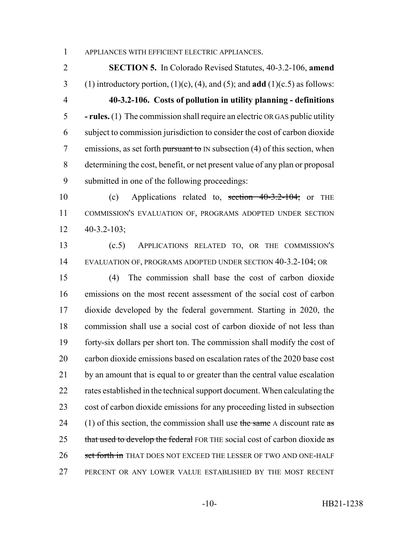APPLIANCES WITH EFFICIENT ELECTRIC APPLIANCES.

 **SECTION 5.** In Colorado Revised Statutes, 40-3.2-106, **amend** 3 (1) introductory portion,  $(1)(c)$ ,  $(4)$ , and  $(5)$ ; and **add**  $(1)(c.5)$  as follows: **40-3.2-106. Costs of pollution in utility planning - definitions - rules.** (1) The commission shall require an electric OR GAS public utility subject to commission jurisdiction to consider the cost of carbon dioxide 7 emissions, as set forth pursuant to IN subsection  $(4)$  of this section, when determining the cost, benefit, or net present value of any plan or proposal submitted in one of the following proceedings:

 (c) Applications related to, section 40-3.2-104; or THE COMMISSION'S EVALUATION OF, PROGRAMS ADOPTED UNDER SECTION 40-3.2-103;

 (c.5) APPLICATIONS RELATED TO, OR THE COMMISSION'S EVALUATION OF, PROGRAMS ADOPTED UNDER SECTION 40-3.2-104; OR

 (4) The commission shall base the cost of carbon dioxide emissions on the most recent assessment of the social cost of carbon dioxide developed by the federal government. Starting in 2020, the commission shall use a social cost of carbon dioxide of not less than forty-six dollars per short ton. The commission shall modify the cost of carbon dioxide emissions based on escalation rates of the 2020 base cost by an amount that is equal to or greater than the central value escalation 22 rates established in the technical support document. When calculating the cost of carbon dioxide emissions for any proceeding listed in subsection 24 (1) of this section, the commission shall use the same A discount rate as 25 that used to develop the federal FOR THE social cost of carbon dioxide as 26 set forth in THAT DOES NOT EXCEED THE LESSER OF TWO AND ONE-HALF PERCENT OR ANY LOWER VALUE ESTABLISHED BY THE MOST RECENT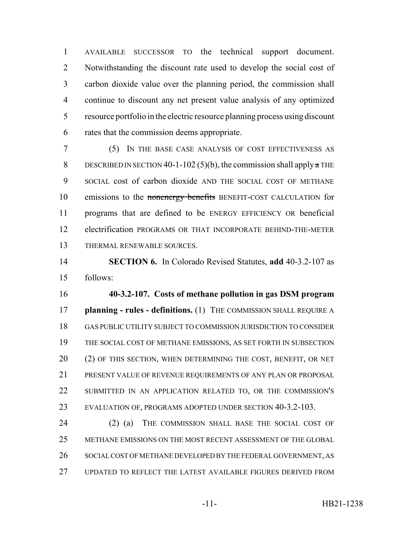AVAILABLE SUCCESSOR TO the technical support document. Notwithstanding the discount rate used to develop the social cost of carbon dioxide value over the planning period, the commission shall continue to discount any net present value analysis of any optimized resource portfolio in the electric resource planning process using discount rates that the commission deems appropriate.

 (5) IN THE BASE CASE ANALYSIS OF COST EFFECTIVENESS AS 8 DESCRIBED IN SECTION 40-1-102 (5)(b), the commission shall apply  $\alpha$  THE SOCIAL cost of carbon dioxide AND THE SOCIAL COST OF METHANE 10 emissions to the nonenergy benefits BENEFIT-COST CALCULATION for programs that are defined to be ENERGY EFFICIENCY OR beneficial electrification PROGRAMS OR THAT INCORPORATE BEHIND-THE-METER THERMAL RENEWABLE SOURCES.

 **SECTION 6.** In Colorado Revised Statutes, **add** 40-3.2-107 as follows:

 **40-3.2-107. Costs of methane pollution in gas DSM program planning - rules - definitions.** (1) THE COMMISSION SHALL REQUIRE A GAS PUBLIC UTILITY SUBJECT TO COMMISSION JURISDICTION TO CONSIDER THE SOCIAL COST OF METHANE EMISSIONS, AS SET FORTH IN SUBSECTION 20 (2) OF THIS SECTION, WHEN DETERMINING THE COST, BENEFIT, OR NET PRESENT VALUE OF REVENUE REQUIREMENTS OF ANY PLAN OR PROPOSAL SUBMITTED IN AN APPLICATION RELATED TO, OR THE COMMISSION'S EVALUATION OF, PROGRAMS ADOPTED UNDER SECTION 40-3.2-103.

24 (2) (a) THE COMMISSION SHALL BASE THE SOCIAL COST OF METHANE EMISSIONS ON THE MOST RECENT ASSESSMENT OF THE GLOBAL SOCIAL COST OF METHANE DEVELOPED BY THE FEDERAL GOVERNMENT, AS UPDATED TO REFLECT THE LATEST AVAILABLE FIGURES DERIVED FROM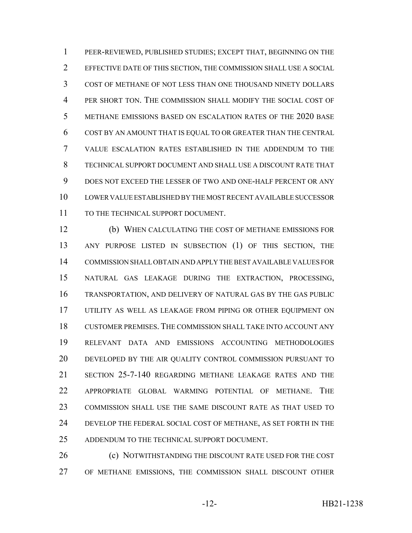PEER-REVIEWED, PUBLISHED STUDIES; EXCEPT THAT, BEGINNING ON THE EFFECTIVE DATE OF THIS SECTION, THE COMMISSION SHALL USE A SOCIAL COST OF METHANE OF NOT LESS THAN ONE THOUSAND NINETY DOLLARS PER SHORT TON. THE COMMISSION SHALL MODIFY THE SOCIAL COST OF METHANE EMISSIONS BASED ON ESCALATION RATES OF THE 2020 BASE COST BY AN AMOUNT THAT IS EQUAL TO OR GREATER THAN THE CENTRAL VALUE ESCALATION RATES ESTABLISHED IN THE ADDENDUM TO THE TECHNICAL SUPPORT DOCUMENT AND SHALL USE A DISCOUNT RATE THAT DOES NOT EXCEED THE LESSER OF TWO AND ONE-HALF PERCENT OR ANY LOWER VALUE ESTABLISHED BY THE MOST RECENT AVAILABLE SUCCESSOR 11 TO THE TECHNICAL SUPPORT DOCUMENT.

 (b) WHEN CALCULATING THE COST OF METHANE EMISSIONS FOR ANY PURPOSE LISTED IN SUBSECTION (1) OF THIS SECTION, THE COMMISSION SHALL OBTAIN AND APPLY THE BEST AVAILABLE VALUES FOR NATURAL GAS LEAKAGE DURING THE EXTRACTION, PROCESSING, TRANSPORTATION, AND DELIVERY OF NATURAL GAS BY THE GAS PUBLIC UTILITY AS WELL AS LEAKAGE FROM PIPING OR OTHER EQUIPMENT ON CUSTOMER PREMISES. THE COMMISSION SHALL TAKE INTO ACCOUNT ANY RELEVANT DATA AND EMISSIONS ACCOUNTING METHODOLOGIES DEVELOPED BY THE AIR QUALITY CONTROL COMMISSION PURSUANT TO SECTION 25-7-140 REGARDING METHANE LEAKAGE RATES AND THE APPROPRIATE GLOBAL WARMING POTENTIAL OF METHANE. THE COMMISSION SHALL USE THE SAME DISCOUNT RATE AS THAT USED TO DEVELOP THE FEDERAL SOCIAL COST OF METHANE, AS SET FORTH IN THE ADDENDUM TO THE TECHNICAL SUPPORT DOCUMENT.

26 (c) NOTWITHSTANDING THE DISCOUNT RATE USED FOR THE COST OF METHANE EMISSIONS, THE COMMISSION SHALL DISCOUNT OTHER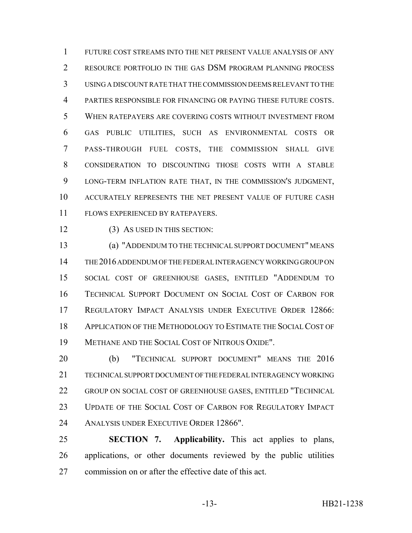FUTURE COST STREAMS INTO THE NET PRESENT VALUE ANALYSIS OF ANY 2 RESOURCE PORTFOLIO IN THE GAS DSM PROGRAM PLANNING PROCESS USING A DISCOUNT RATE THAT THE COMMISSION DEEMS RELEVANT TO THE PARTIES RESPONSIBLE FOR FINANCING OR PAYING THESE FUTURE COSTS. WHEN RATEPAYERS ARE COVERING COSTS WITHOUT INVESTMENT FROM GAS PUBLIC UTILITIES, SUCH AS ENVIRONMENTAL COSTS OR PASS-THROUGH FUEL COSTS, THE COMMISSION SHALL GIVE CONSIDERATION TO DISCOUNTING THOSE COSTS WITH A STABLE LONG-TERM INFLATION RATE THAT, IN THE COMMISSION'S JUDGMENT, ACCURATELY REPRESENTS THE NET PRESENT VALUE OF FUTURE CASH FLOWS EXPERIENCED BY RATEPAYERS.

12 (3) AS USED IN THIS SECTION:

 (a) "ADDENDUM TO THE TECHNICAL SUPPORT DOCUMENT" MEANS THE 2016 ADDENDUM OF THE FEDERAL INTERAGENCY WORKING GROUP ON SOCIAL COST OF GREENHOUSE GASES, ENTITLED "ADDENDUM TO TECHNICAL SUPPORT DOCUMENT ON SOCIAL COST OF CARBON FOR REGULATORY IMPACT ANALYSIS UNDER EXECUTIVE ORDER 12866: APPLICATION OF THE METHODOLOGY TO ESTIMATE THE SOCIAL COST OF METHANE AND THE SOCIAL COST OF NITROUS OXIDE".

 (b) "TECHNICAL SUPPORT DOCUMENT" MEANS THE 2016 TECHNICAL SUPPORT DOCUMENT OF THE FEDERAL INTERAGENCY WORKING GROUP ON SOCIAL COST OF GREENHOUSE GASES, ENTITLED "TECHNICAL UPDATE OF THE SOCIAL COST OF CARBON FOR REGULATORY IMPACT ANALYSIS UNDER EXECUTIVE ORDER 12866".

 **SECTION 7. Applicability.** This act applies to plans, applications, or other documents reviewed by the public utilities commission on or after the effective date of this act.